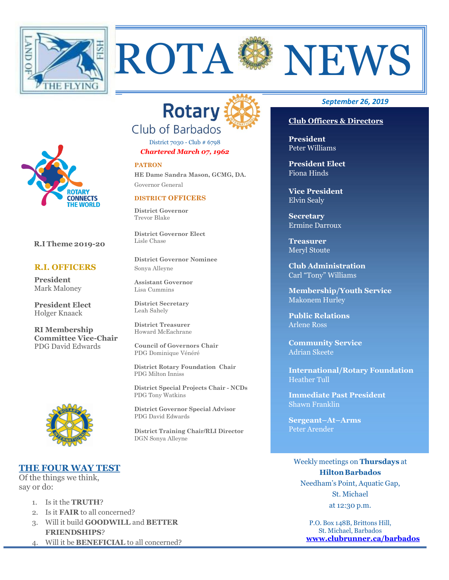



District 7030 - Club # 6798 *Chartered March 07, 1962*

#### **PATRON**

**HE Dame Sandra Mason, GCMG, DA.** Governor General

#### **DISTRICT OFFICERS**

**District Governor** Trevor Blake

**District Governor Elect** Lisle Chase

**District Governor Nominee** Sonya Alleyne

**Assistant Governor**  Lisa Cummins

**District Secretary**  Leah Sahely

**District Treasurer**  Howard McEachrane

**Council of Governors Chair** PDG Dominique Vénéré

 **District Rotary Foundation Chair** PDG Milton Inniss

 **District Special Projects Chair - NCDs** PDG Tony Watkins

**District Governor Special Advisor** PDG David Edwards

**District Training Chair/RLI Director** DGN Sonya Alleyne

#### *September 26, 2019*

### **Club Officers & Directors**

**President** Peter Williams

**President Elect** Fiona Hinds

**Vice President** Elvin Sealy

**Secretary** Ermine Darroux

**Treasurer**  Meryl Stoute

**Club Administration** Carl "Tony" Williams

**Membership/Youth Service**  Makonem Hurley

**Public Relations**  Arlene Ross

**Community Service** Adrian Skeete

**International/Rotary Foundation** Heather Tull

**Immediate Past President** Shawn Franklin

**Sergeant–At–Arms** Peter Arender

Weekly meetings on **Thursdays** at **Hilton Barbados** Needham's Point, Aquatic Gap, St. Michael at 12:30 p.m.

> P.O. Box 148B, Brittons Hill, St. Michael, Barbados **[www.clubrunner.ca/barbados](http://www.clubrunner.ca/barbados)**



**R.I Theme 2019-20**

#### **R.I. OFFICERS**

**President** Mark Maloney

**President Elect** Holger Knaack

**RI Membership Committee Vice-Chair** PDG David Edwards



## **THE FOUR WAY TEST**

Of the things we think, say or do:

- 1. Is it the **TRUTH**?
- 2. Is it **FAIR** to all concerned?
- 3. Will it build **GOODWILL** and **BETTER FRIENDSHIPS**?
- 4. Will it be **BENEFICIAL** to all concerned?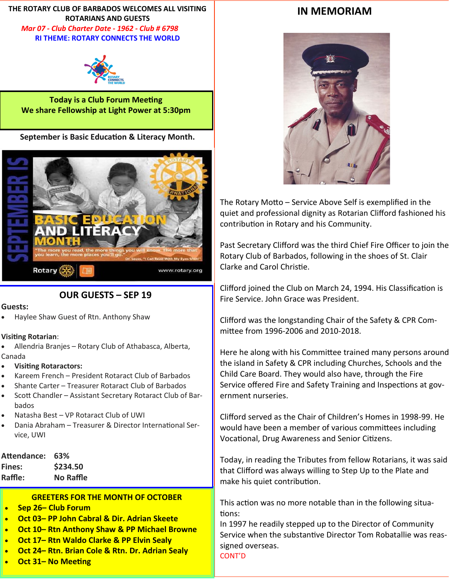**THE ROTARY CLUB OF BARBADOS WELCOMES ALL VISITING ROTARIANS AND GUESTS**  *Mar 07 - Club Charter Date - 1962 - Club # 6798* **RI THEME: ROTARY CONNECTS THE WORLD** 



**Today is a Club Forum Meeting We share Fellowship at Light Power at 5:30pm** 

**September is Basic Education & Literacy Month.**



**OUR GUESTS – SEP 19**

#### **Guests:**

• Haylee Shaw Guest of Rtn. Anthony Shaw

#### **Visiting Rotarian**:

• Allendria Branjes – Rotary Club of Athabasca, Alberta, Canada

- **Visiting Rotaractors:**
- Kareem French President Rotaract Club of Barbados
- Shante Carter Treasurer Rotaract Club of Barbados
- Scott Chandler Assistant Secretary Rotaract Club of Barbados
- Natasha Best VP Rotaract Club of UWI
- Dania Abraham Treasurer & Director International Service, UWI

# **Attendance: 63%**

| Fines:  | \$234.50  |
|---------|-----------|
| Raffle: | No Raffle |

## **GREETERS FOR THE MONTH OF OCTOBER**

- **Sep 26– Club Forum**
- **Oct 03– PP John Cabral & Dir. Adrian Skeete**
- **Oct 10– Rtn Anthony Shaw & PP Michael Browne**
- **Oct 17– Rtn Waldo Clarke & PP Elvin Sealy**
- **Oct 24– Rtn. Brian Cole & Rtn. Dr. Adrian Sealy**
- **Oct 31– No Meeting**

# **IN MEMORIAM**



The Rotary Motto – Service Above Self is exemplified in the quiet and professional dignity as Rotarian Clifford fashioned his contribution in Rotary and his Community.

Past Secretary Clifford was the third Chief Fire Officer to join the Rotary Club of Barbados, following in the shoes of St. Clair Clarke and Carol Christie.

Clifford joined the Club on March 24, 1994. His Classification is Fire Service. John Grace was President.

Clifford was the longstanding Chair of the Safety & CPR Committee from 1996-2006 and 2010-2018.

Here he along with his Committee trained many persons around the island in Safety & CPR including Churches, Schools and the Child Care Board. They would also have, through the Fire Service offered Fire and Safety Training and Inspections at government nurseries.

Clifford served as the Chair of Children's Homes in 1998-99. He would have been a member of various committees including Vocational, Drug Awareness and Senior Citizens.

Today, in reading the Tributes from fellow Rotarians, it was said that Clifford was always willing to Step Up to the Plate and make his quiet contribution.

This action was no more notable than in the following situations:

In 1997 he readily stepped up to the Director of Community Service when the substantive Director Tom Robatallie was reassigned overseas.

CONT'D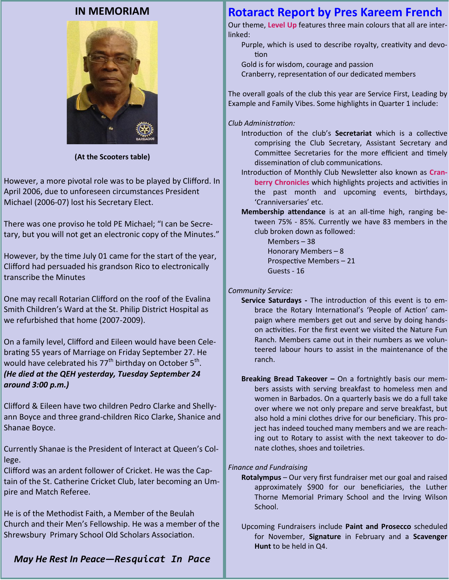# **IN MEMORIAM**



**(At the Scooters table)**

However, a more pivotal role was to be played by Clifford. In April 2006, due to unforeseen circumstances President Michael (2006-07) lost his Secretary Elect.

There was one proviso he told PE Michael; "I can be Secretary, but you will not get an electronic copy of the Minutes."

However, by the time July 01 came for the start of the year, Clifford had persuaded his grandson Rico to electronically transcribe the Minutes

One may recall Rotarian Clifford on the roof of the Evalina Smith Children's Ward at the St. Philip District Hospital as we refurbished that home (2007-2009).

On a family level, Clifford and Eileen would have been Celebrating 55 years of Marriage on Friday September 27. He would have celebrated his 77<sup>th</sup> birthday on October 5<sup>th</sup>. *(He died at the QEH yesterday, Tuesday September 24 around 3:00 p.m.)*

Clifford & Eileen have two children Pedro Clarke and Shellyann Boyce and three grand-children Rico Clarke, Shanice and Shanae Boyce.

Currently Shanae is the President of Interact at Queen's College.

Clifford was an ardent follower of Cricket. He was the Captain of the St. Catherine Cricket Club, later becoming an Umpire and Match Referee.

He is of the Methodist Faith, a Member of the Beulah Church and their Men's Fellowship. He was a member of the Shrewsbury Primary School Old Scholars Association.

# Introduction of the club's **Secretariat** which is a collective

linked:

tion

*Club Administration:*

comprising the Club Secretary, Assistant Secretary and Committee Secretaries for the more efficient and timely dissemination of club communications.

**Rotaract Report by Pres Kareem French** Our theme, **Level Up** features three main colours that all are inter-

Cranberry, representation of our dedicated members

The overall goals of the club this year are Service First, Leading by Example and Family Vibes. Some highlights in Quarter 1 include:

Gold is for wisdom, courage and passion

Purple, which is used to describe royalty, creativity and devo-

Introduction of Monthly Club Newsletter also known as **Cranberry Chronicles** which highlights projects and activities in the past month and upcoming events, birthdays, 'Cranniversaries' etc.

**Membership attendance** is at an all-time high, ranging between 75% - 85%. Currently we have 83 members in the club broken down as followed:

> Members – 38 Honorary Members – 8 Prospective Members – 21 Guests - 16

*Community Service:*

- **Service Saturdays -** The introduction of this event is to embrace the Rotary International's 'People of Action' campaign where members get out and serve by doing handson activities. For the first event we visited the Nature Fun Ranch. Members came out in their numbers as we volunteered labour hours to assist in the maintenance of the ranch.
- **Breaking Bread Takeover –** On a fortnightly basis our members assists with serving breakfast to homeless men and women in Barbados. On a quarterly basis we do a full take over where we not only prepare and serve breakfast, but also hold a mini clothes drive for our beneficiary. This project has indeed touched many members and we are reaching out to Rotary to assist with the next takeover to donate clothes, shoes and toiletries.

*Finance and Fundraising* 

**Rotalympus** – Our very first fundraiser met our goal and raised approximately \$900 for our beneficiaries, the Luther Thorne Memorial Primary School and the Irving Wilson School.

Upcoming Fundraisers include **Paint and Prosecco** scheduled for November, **Signature** in February and a **Scavenger Hunt** to be held in Q4.

## *May He Rest In Peace—Resquicat In Pace*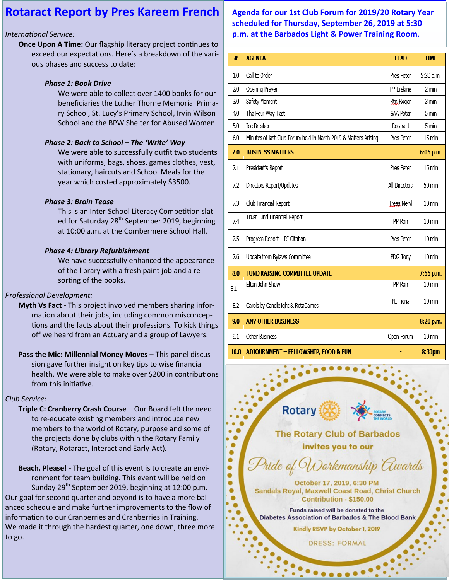# **Rotaract Report by Pres Kareem French**

## *International Service:*

**Once Upon A Time:** Our flagship literacy project continues to exceed our expectations. Here's a breakdown of the various phases and success to date:

## *Phase 1: Book Drive*

We were able to collect over 1400 books for our beneficiaries the Luther Thorne Memorial Primary School, St. Lucy's Primary School, Irvin Wilson School and the BPW Shelter for Abused Women.

## *Phase 2: Back to School – The 'Write' Way*

We were able to successfully outfit two students with uniforms, bags, shoes, games clothes, vest, stationary, haircuts and School Meals for the year which costed approximately \$3500.

## *Phase 3: Brain Tease*

This is an Inter-School Literacy Competition slated for Saturday 28<sup>th</sup> September 2019, beginning at 10:00 a.m. at the Combermere School Hall.

## *Phase 4: Library Refurbishment*

We have successfully enhanced the appearance of the library with a fresh paint job and a resorting of the books.

## *Professional Development:*

- **Myth Vs Fact**  This project involved members sharing information about their jobs, including common misconceptions and the facts about their professions. To kick things off we heard from an Actuary and a group of Lawyers.
- **Pass the Mic: Millennial Money Moves** This panel discussion gave further insight on key tips to wise financial health. We were able to make over \$200 in contributions from this initiative.

## *Club Service:*

**Triple C: Cranberry Crash Course** – Our Board felt the need to re-educate existing members and introduce new members to the world of Rotary, purpose and some of the projects done by clubs within the Rotary Family (Rotary, Rotaract, Interact and Early-Act)*.*

**Beach, Please!** - The goal of this event is to create an environment for team building. This event will be held on Sunday  $29^{th}$  September 2019, beginning at 12:00 p.m. Our goal for second quarter and beyond is to have a more balanced schedule and make further improvements to the flow of information to our Cranberries and Cranberries in Training. We made it through the hardest quarter, one down, three more to go.

# **Agenda for our 1st Club Forum for 2019/20 Rotary Year scheduled for Thursday, September 26, 2019 at 5:30 p.m. at the Barbados Light & Power Training Room.**

| #    | <b>AGENDA</b>                                                   | <b>LEAD</b>        | <b>TIME</b>      |
|------|-----------------------------------------------------------------|--------------------|------------------|
| 1.0  | Call to Order                                                   | Pres Peter         | 5:30 p.m.        |
| 2.0  | Opening Prayer                                                  | PP Erskine         | 2 min            |
| 3.0  | Safety Moment                                                   | <b>Rtn Roger</b>   | 3 min            |
| 4.0  | The Four Way Test                                               | SAA Peter          | 5 min            |
| 5.0  | Ice Breaker                                                     | Rotaract           | 5 min            |
| 6.0  | Minutes of last Club Forum held in March 2019 & Matters Arising | Pres Peter         | 15 min           |
| 7.0  | <b>BUSINESS MATTERS</b>                                         |                    | 6:05 p.m.        |
| 7.1  | President's Report                                              | Pres Peter         | 15 min           |
| 7.2  | Directors Report/Updates                                        | All Directors      | 50 min           |
| 7.3  | Club Financial Report                                           | <b>Treas Meryl</b> | 10 min           |
| 7.4  | Trust Fund Financial Report                                     | PP Ron             | $10 \text{ min}$ |
| 7.5  | Progress Report - RI Citation                                   | Pres Peter         | 10 min           |
| 7.6  | Update from Bylaws Committee                                    | PDG Tony           | 10 min           |
| 8.0  | <b>FUND RAISING COMMITTEE UPDATE</b>                            |                    | 7:55 p.m.        |
| 8.1  | Elton John Show                                                 | PP Ron             | 10 min           |
| 8.2  | Carols by Candlelight & RotaGames                               | PE Fiona           | 10 min           |
| 9.0  | <b>ANY OTHER BUSINESS</b>                                       |                    | 8:20 p.m.        |
| 9.1  | Other Business                                                  | Open Forum         | 10 min           |
| 10.0 | ADJOURNMENT - FELLOWSHIP, FOOD & FUN                            |                    | 8:30pm           |

**Rotary The Rotary Club of Barbados** invites you to our Pride of Workmanship Awards October 17, 2019, 6:30 PM **Sandals Royal, Maxwell Coast Road, Christ Church** Contribution - \$150.00 Funds raised will be donated to the Diabetes Association of Barbados & The Blood Bank Kindly RSVP by October 1, 2019 **DRESS: FORMAL** 

 $\bullet\bullet\bullet\bullet\bullet$ 

۰